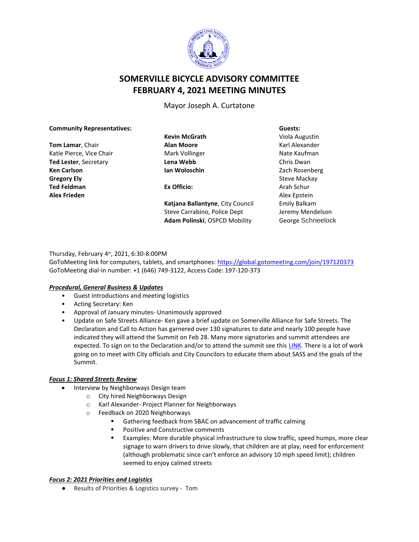

# **SOMERVILLE BICYCLE ADVISORY COMMITTEE FEBRUARY 4, 2021 MEETING MINUTES**

Mayor Joseph A. Curtatone

#### **Community Representatives:**

**Tom Lamar**, Chair Katie Pierce, Vice Chair **Ted Lester**, Secretary **Ken Carlson Gregory Ely Ted Feldman Alex Frieden**

**Kevin McGrath Alan Moore** Mark Vollinger **Lena Webb Ian Woloschin**

**Ex Officio:**

**Katjana Ballantyne**, City Council Steve Carrabino, Police Dept **Adam Polinski**, OSPCD Mobility

**Guests:** Viola Augustin Karl Alexander Nate Kaufman Chris Dwan Zach Rosenberg Steve Mackay Arah Schur Alex Epstein Emily Balkam Jeremy Mendelson George Schneelock

## Thursday, February 4th, 2021, 6:30-8:00PM

GoToMeeting link for computers, tablets, and smartphones: <https://global.gotomeeting.com/join/197120373> GoToMeeting dial-in number: +1 (646) 749-3122, Access Code: 197-120-373

## *Procedural, General Business & Updates*

- Guest introductions and meeting logistics
- Acting Secretary: Ken
- Approval of January minutes- Unanimously approved
- Update on Safe Streets Alliance- Ken gave a brief update on Somerville Alliance for Safe Streets. The Declaration and Call to Action has garnered over 130 signatures to date and nearly 100 people have indicated they will attend the Summit on Feb 28. Many more signatories and summit attendees are expected. To sign on to the Declaration and/or to attend the summit see this [LINK.](https://docs.google.com/forms/d/e/1FAIpQLSfWVVr3-abCmKoooYn01qSgb065ofqbsoXFFBuWKnMIbYHKvQ/viewform?gxids=7628) There is a lot of work going on to meet with City officials and City Councilors to educate them about SASS and the goals of the Summit.

#### *Focus 1: Shared Streets Review*

- Interview by Neighborways Design team
	- o City hired Neighborways Design
	- o Karl Alexander- Project Planner for Neighborways
	- o Feedback on 2020 Neighborways
		- Gathering feedback from SBAC on advancement of traffic calming
		- Positive and Constructive comments
		- Examples: More durable physical infrastructure to slow traffic, speed humps, more clear signage to warn drivers to drive slowly, that children are at play, need for enforcement (although problematic since can't enforce an advisory 10 mph speed limit); children seemed to enjoy calmed streets

#### *Focus 2: 2021 Priorities and Logistics*

● Results of Priorities & Logistics survey - Tom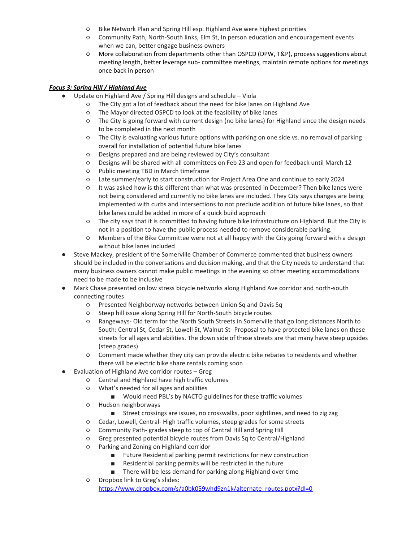- Bike Network Plan and Spring Hill esp. Highland Ave were highest priorities
- Community Path, North-South links, Elm St, In person education and encouragement events when we can, better engage business owners
- More collaboration from departments other than OSPCD (DPW, T&P), process suggestions about meeting length, better leverage sub- committee meetings, maintain remote options for meetings once back in person

## *Focus 3: Spring Hill / Highland Ave*

- Update on Highland Ave / Spring Hill designs and schedule Viola
	- The City got a lot of feedback about the need for bike lanes on Highland Ave
	- The Mayor directed OSPCD to look at the feasibility of bike lanes
	- The City is going forward with current design (no bike lanes) for Highland since the design needs to be completed in the next month
	- The City is evaluating various future options with parking on one side vs. no removal of parking overall for installation of potential future bike lanes
	- Designs prepared and are being reviewed by City's consultant
	- Designs will be shared with all committees on Feb 23 and open for feedback until March 12
	- Public meeting TBD in March timeframe
	- Late summer/early to start construction for Project Area One and continue to early 2024
	- It was asked how is this different than what was presented in December? Then bike lanes were not being considered and currently no bike lanes are included. They City says changes are being implemented with curbs and intersections to not preclude addition of future bike lanes, so that bike lanes could be added in more of a quick build approach
	- The city says that it is committed to having future bike infrastructure on Highland. But the City is not in a position to have the public process needed to remove considerable parking.
	- Members of the Bike Committee were not at all happy with the City going forward with a design without bike lanes included
- Steve Mackey, president of the Somerville Chamber of Commerce commented that business owners should be included in the conversations and decision making, and that the City needs to understand that many business owners cannot make public meetings in the evening so other meeting accommodations need to be made to be inclusive
- Mark Chase presented on low stress bicycle networks along Highland Ave corridor and north-south connecting routes
	- Presented Neighborway networks between Union Sq and Davis Sq
	- Steep hill issue along Spring Hill for North-South bicycle routes
	- Rangeways- Old term for the North South Streets in Somerville that go long distances North to South: Central St, Cedar St, Lowell St, Walnut St- Proposal to have protected bike lanes on these streets for all ages and abilities. The down side of these streets are that many have steep upsides (steep grades)
	- Comment made whether they city can provide electric bike rebates to residents and whether there will be electric bike share rentals coming soon
- Evaluation of Highland Ave corridor routes Greg
	- Central and Highland have high traffic volumes
	- What's needed for all ages and abilities
		- Would need PBL's by NACTO guidelines for these traffic volumes
	- Hudson neighborways
		- Street crossings are issues, no crosswalks, poor sightlines, and need to zig zag
	- Cedar, Lowell, Central- High traffic volumes, steep grades for some streets
	- Community Path- grades steep to top of Central Hill and Spring Hill
	- Greg presented potential bicycle routes from Davis Sq to Central/Highland
	- Parking and Zoning on Highland corridor
		- Future Residential parking permit restrictions for new construction
		- Residential parking permits will be restricted in the future
		- There will be less demand for parking along Highland over time
	- Dropbox link to Greg's slides: [https://www.dropbox.com/s/a0bk059whd9zn1k/alternate\\_routes.pptx?dl=0](https://www.dropbox.com/s/a0bk059whd9zn1k/alternate_routes.pptx?dl=0)